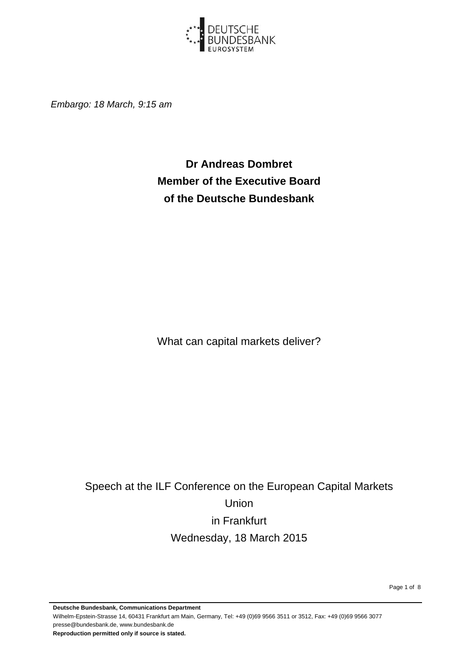

*Embargo: 18 March, 9:15 am*

**Dr Andreas Dombret Member of the Executive Board of the Deutsche Bundesbank** 

What can capital markets deliver?

Speech at the ILF Conference on the European Capital Markets Union in Frankfurt Wednesday, 18 March 2015

Page 1 of 8

**Deutsche Bundesbank, Communications Department**  Wilhelm-Epstein-Strasse 14, 60431 Frankfurt am Main, Germany, Tel: +49 (0)69 9566 3511 or 3512, Fax: +49 (0)69 9566 3077 presse@bundesbank.de, www.bundesbank.de **Reproduction permitted only if source is stated.**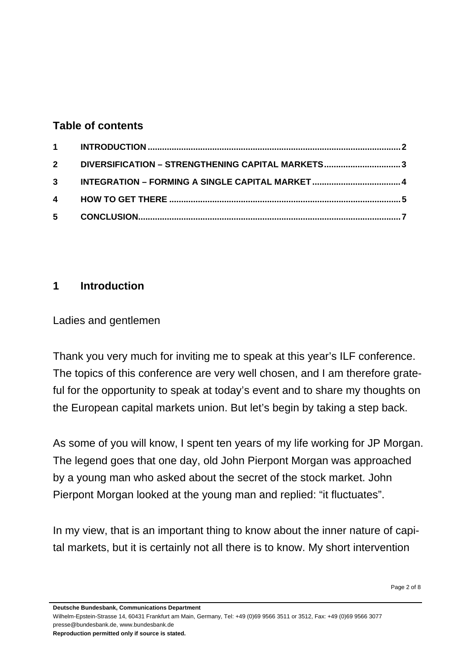#### **Table of contents**

| 2 DIVERSIFICATION - STRENGTHENING CAPITAL MARKETS3 |  |
|----------------------------------------------------|--|
|                                                    |  |
|                                                    |  |
|                                                    |  |

# **1 Introduction**

Ladies and gentlemen

Thank you very much for inviting me to speak at this year's ILF conference. The topics of this conference are very well chosen, and I am therefore grateful for the opportunity to speak at today's event and to share my thoughts on the European capital markets union. But let's begin by taking a step back.

As some of you will know, I spent ten years of my life working for JP Morgan. The legend goes that one day, old John Pierpont Morgan was approached by a young man who asked about the secret of the stock market. John Pierpont Morgan looked at the young man and replied: "it fluctuates".

In my view, that is an important thing to know about the inner nature of capital markets, but it is certainly not all there is to know. My short intervention

**Deutsche Bundesbank, Communications Department** 

Wilhelm-Epstein-Strasse 14, 60431 Frankfurt am Main, Germany, Tel: +49 (0)69 9566 3511 or 3512, Fax: +49 (0)69 9566 3077 presse@bundesbank.de, www.bundesbank.de

**Reproduction permitted only if source is stated.**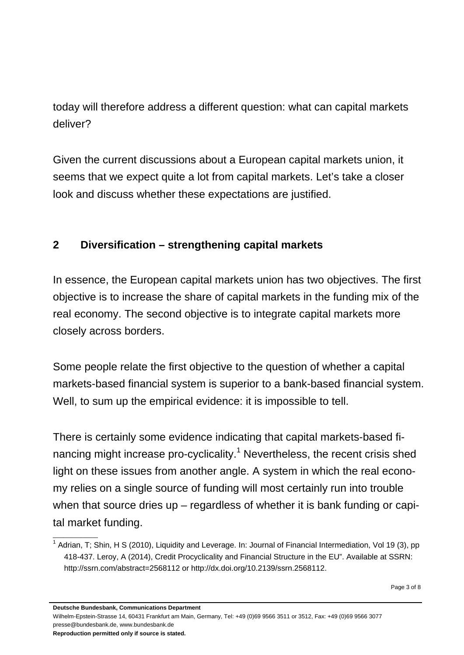today will therefore address a different question: what can capital markets deliver?

Given the current discussions about a European capital markets union, it seems that we expect quite a lot from capital markets. Let's take a closer look and discuss whether these expectations are justified.

# **2 Diversification – strengthening capital markets**

In essence, the European capital markets union has two objectives. The first objective is to increase the share of capital markets in the funding mix of the real economy. The second objective is to integrate capital markets more closely across borders.

Some people relate the first objective to the question of whether a capital markets-based financial system is superior to a bank-based financial system. Well, to sum up the empirical evidence: it is impossible to tell.

There is certainly some evidence indicating that capital markets-based financing might increase pro-cyclicality.<sup>1</sup> Nevertheless, the recent crisis shed light on these issues from another angle. A system in which the real economy relies on a single source of funding will most certainly run into trouble when that source dries up – regardless of whether it is bank funding or capital market funding.

**Deutsche Bundesbank, Communications Department** 

Wilhelm-Epstein-Strasse 14, 60431 Frankfurt am Main, Germany, Tel: +49 (0)69 9566 3511 or 3512, Fax: +49 (0)69 9566 3077 presse@bundesbank.de, www.bundesbank.de

**Reproduction permitted only if source is stated.** 

 $\overline{\phantom{a}}$  , where  $\overline{\phantom{a}}$ 

<sup>&</sup>lt;sup>1</sup> Adrian, T; Shin, H S (2010), Liquidity and Leverage. In: Journal of Financial Intermediation, Vol 19 (3), pp 418-437. Leroy, A (2014), Credit Procyclicality and Financial Structure in the EU". Available at SSRN: http://ssrn.com/abstract=2568112 or http://dx.doi.org/10.2139/ssrn.2568112.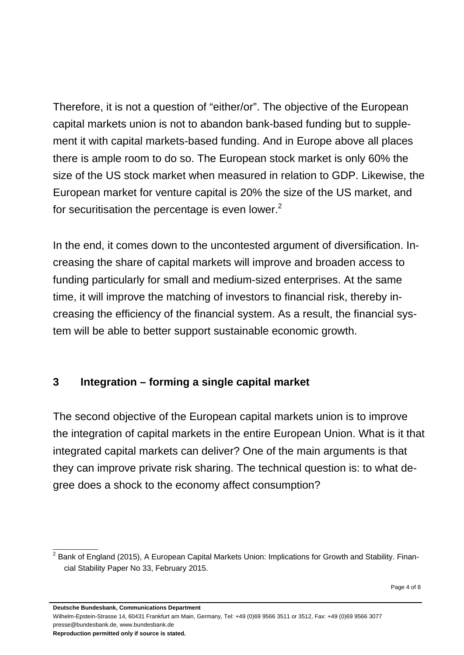Therefore, it is not a question of "either/or". The objective of the European capital markets union is not to abandon bank-based funding but to supplement it with capital markets-based funding. And in Europe above all places there is ample room to do so. The European stock market is only 60% the size of the US stock market when measured in relation to GDP. Likewise, the European market for venture capital is 20% the size of the US market, and for securitisation the percentage is even lower.<sup>2</sup>

In the end, it comes down to the uncontested argument of diversification. Increasing the share of capital markets will improve and broaden access to funding particularly for small and medium-sized enterprises. At the same time, it will improve the matching of investors to financial risk, thereby increasing the efficiency of the financial system. As a result, the financial system will be able to better support sustainable economic growth.

# **3 Integration – forming a single capital market**

The second objective of the European capital markets union is to improve the integration of capital markets in the entire European Union. What is it that integrated capital markets can deliver? One of the main arguments is that they can improve private risk sharing. The technical question is: to what degree does a shock to the economy affect consumption?

**Deutsche Bundesbank, Communications Department** 

Wilhelm-Epstein-Strasse 14, 60431 Frankfurt am Main, Germany, Tel: +49 (0)69 9566 3511 or 3512, Fax: +49 (0)69 9566 3077 presse@bundesbank.de, www.bundesbank.de

**Reproduction permitted only if source is stated.** 

 $\overline{\phantom{a}}$  , where  $\overline{\phantom{a}}$ 

 $^{2}$  Bank of England (2015), A European Capital Markets Union: Implications for Growth and Stability. Financial Stability Paper No 33, February 2015.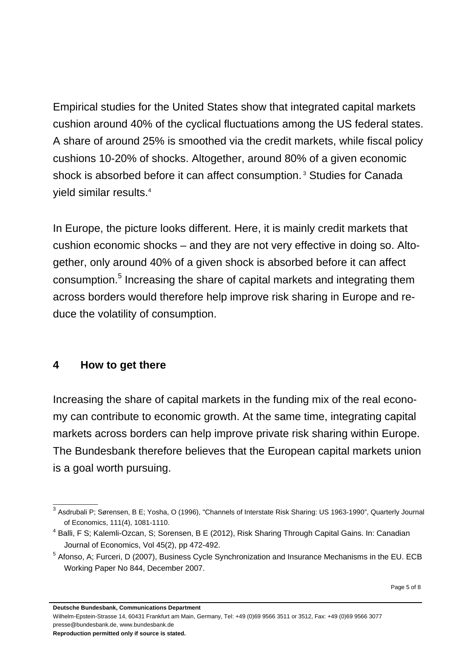Empirical studies for the United States show that integrated capital markets cushion around 40% of the cyclical fluctuations among the US federal states. A share of around 25% is smoothed via the credit markets, while fiscal policy cushions 10-20% of shocks. Altogether, around 80% of a given economic shock is absorbed before it can affect consumption.<sup>3</sup> Studies for Canada yield similar results.4

In Europe, the picture looks different. Here, it is mainly credit markets that cushion economic shocks – and they are not very effective in doing so. Altogether, only around 40% of a given shock is absorbed before it can affect consumption.<sup>5</sup> Increasing the share of capital markets and integrating them across borders would therefore help improve risk sharing in Europe and reduce the volatility of consumption.

#### **4 How to get there**

\_\_\_\_\_\_\_\_\_\_\_\_\_

Increasing the share of capital markets in the funding mix of the real economy can contribute to economic growth. At the same time, integrating capital markets across borders can help improve private risk sharing within Europe. The Bundesbank therefore believes that the European capital markets union is a goal worth pursuing.

Wilhelm-Epstein-Strasse 14, 60431 Frankfurt am Main, Germany, Tel: +49 (0)69 9566 3511 or 3512, Fax: +49 (0)69 9566 3077 presse@bundesbank.de, www.bundesbank.de

 $^3$  Asdrubali P; Sørensen, B E; Yosha, O (1996), "Channels of Interstate Risk Sharing: US 1963-1990", Quarterly Journal of Economics, 111(4), 1081-1110.

<sup>&</sup>lt;sup>4</sup> Balli, F S; Kalemli-Ozcan, S; Sorensen, B E (2012), Risk Sharing Through Capital Gains. In: Canadian Journal of Economics, Vol 45(2), pp 472-492.

<sup>&</sup>lt;sup>5</sup> Afonso, A; Furceri, D (2007), Business Cycle Synchronization and Insurance Mechanisms in the EU. ECB Working Paper No 844, December 2007.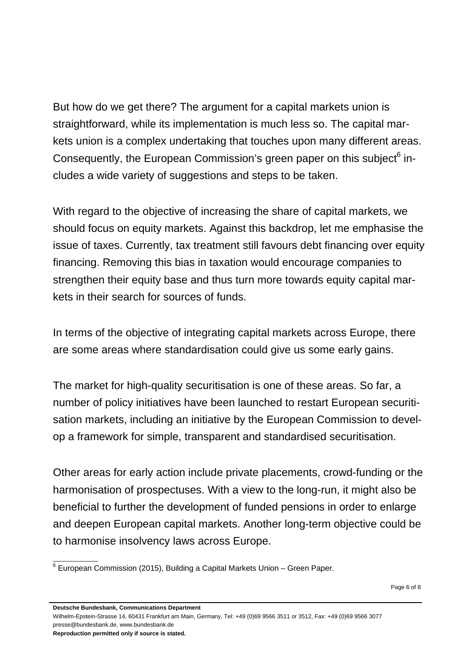But how do we get there? The argument for a capital markets union is straightforward, while its implementation is much less so. The capital markets union is a complex undertaking that touches upon many different areas. Consequently, the European Commission's green paper on this subject $^6$  includes a wide variety of suggestions and steps to be taken.

With regard to the objective of increasing the share of capital markets, we should focus on equity markets. Against this backdrop, let me emphasise the issue of taxes. Currently, tax treatment still favours debt financing over equity financing. Removing this bias in taxation would encourage companies to strengthen their equity base and thus turn more towards equity capital markets in their search for sources of funds.

In terms of the objective of integrating capital markets across Europe, there are some areas where standardisation could give us some early gains.

The market for high-quality securitisation is one of these areas. So far, a number of policy initiatives have been launched to restart European securitisation markets, including an initiative by the European Commission to develop a framework for simple, transparent and standardised securitisation.

Other areas for early action include private placements, crowd-funding or the harmonisation of prospectuses. With a view to the long-run, it might also be beneficial to further the development of funded pensions in order to enlarge and deepen European capital markets. Another long-term objective could be to harmonise insolvency laws across Europe.

**Deutsche Bundesbank, Communications Department** 

Wilhelm-Epstein-Strasse 14, 60431 Frankfurt am Main, Germany, Tel: +49 (0)69 9566 3511 or 3512, Fax: +49 (0)69 9566 3077 presse@bundesbank.de, www.bundesbank.de

**Reproduction permitted only if source is stated.** 

\_\_\_\_\_\_\_\_\_\_\_\_\_

 $6$  European Commission (2015), Building a Capital Markets Union – Green Paper.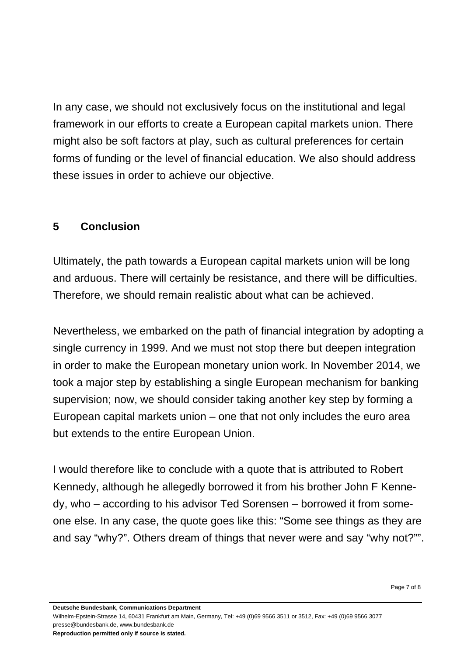In any case, we should not exclusively focus on the institutional and legal framework in our efforts to create a European capital markets union. There might also be soft factors at play, such as cultural preferences for certain forms of funding or the level of financial education. We also should address these issues in order to achieve our objective.

#### **5 Conclusion**

Ultimately, the path towards a European capital markets union will be long and arduous. There will certainly be resistance, and there will be difficulties. Therefore, we should remain realistic about what can be achieved.

Nevertheless, we embarked on the path of financial integration by adopting a single currency in 1999. And we must not stop there but deepen integration in order to make the European monetary union work. In November 2014, we took a major step by establishing a single European mechanism for banking supervision; now, we should consider taking another key step by forming a European capital markets union – one that not only includes the euro area but extends to the entire European Union.

I would therefore like to conclude with a quote that is attributed to Robert Kennedy, although he allegedly borrowed it from his brother John F Kennedy, who – according to his advisor Ted Sorensen – borrowed it from someone else. In any case, the quote goes like this: "Some see things as they are and say "why?". Others dream of things that never were and say "why not?"".

**Deutsche Bundesbank, Communications Department** 

Wilhelm-Epstein-Strasse 14, 60431 Frankfurt am Main, Germany, Tel: +49 (0)69 9566 3511 or 3512, Fax: +49 (0)69 9566 3077 presse@bundesbank.de, www.bundesbank.de